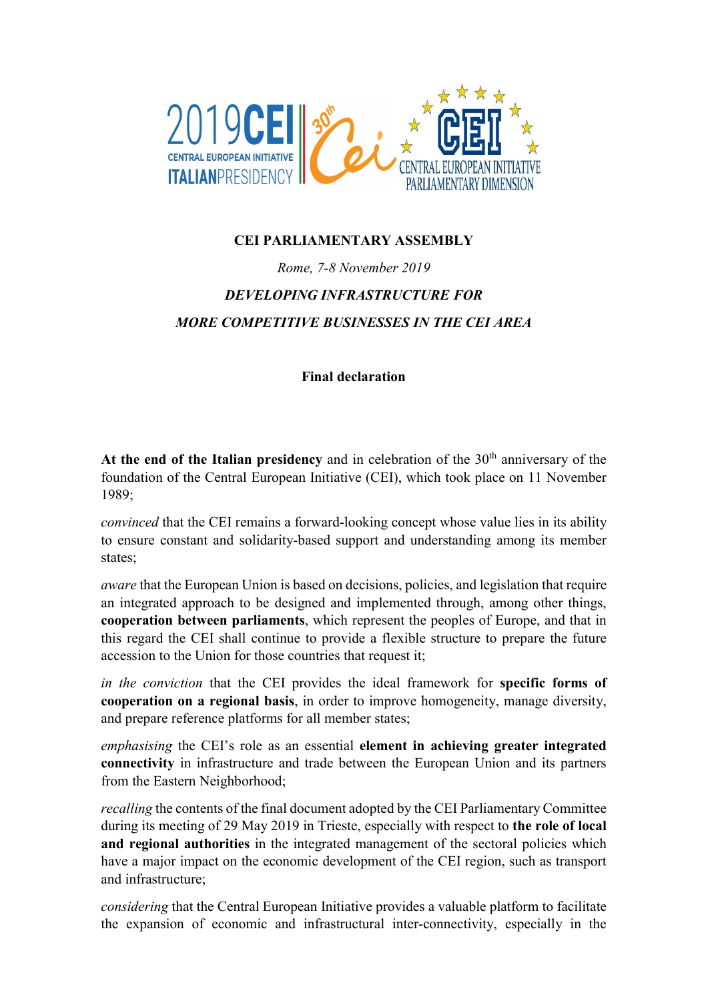

## CEI PARLIAMENTARY ASSEMBLY

## Rome, 7-8 November 2019 DEVELOPING INFRASTRUCTURE FOR MORE COMPETITIVE BUSINESSES IN THE CEI AREA

## Final declaration

At the end of the Italian presidency and in celebration of the  $30<sup>th</sup>$  anniversary of the foundation of the Central European Initiative (CEI), which took place on 11 November 1989;

convinced that the CEI remains a forward-looking concept whose value lies in its ability to ensure constant and solidarity-based support and understanding among its member states;

aware that the European Union is based on decisions, policies, and legislation that require an integrated approach to be designed and implemented through, among other things, cooperation between parliaments, which represent the peoples of Europe, and that in this regard the CEI shall continue to provide a flexible structure to prepare the future accession to the Union for those countries that request it;

in the conviction that the CEI provides the ideal framework for specific forms of cooperation on a regional basis, in order to improve homogeneity, manage diversity, and prepare reference platforms for all member states;

emphasising the CEI's role as an essential element in achieving greater integrated connectivity in infrastructure and trade between the European Union and its partners from the Eastern Neighborhood;

recalling the contents of the final document adopted by the CEI Parliamentary Committee during its meeting of 29 May 2019 in Trieste, especially with respect to the role of local and regional authorities in the integrated management of the sectoral policies which have a major impact on the economic development of the CEI region, such as transport and infrastructure;

considering that the Central European Initiative provides a valuable platform to facilitate the expansion of economic and infrastructural inter-connectivity, especially in the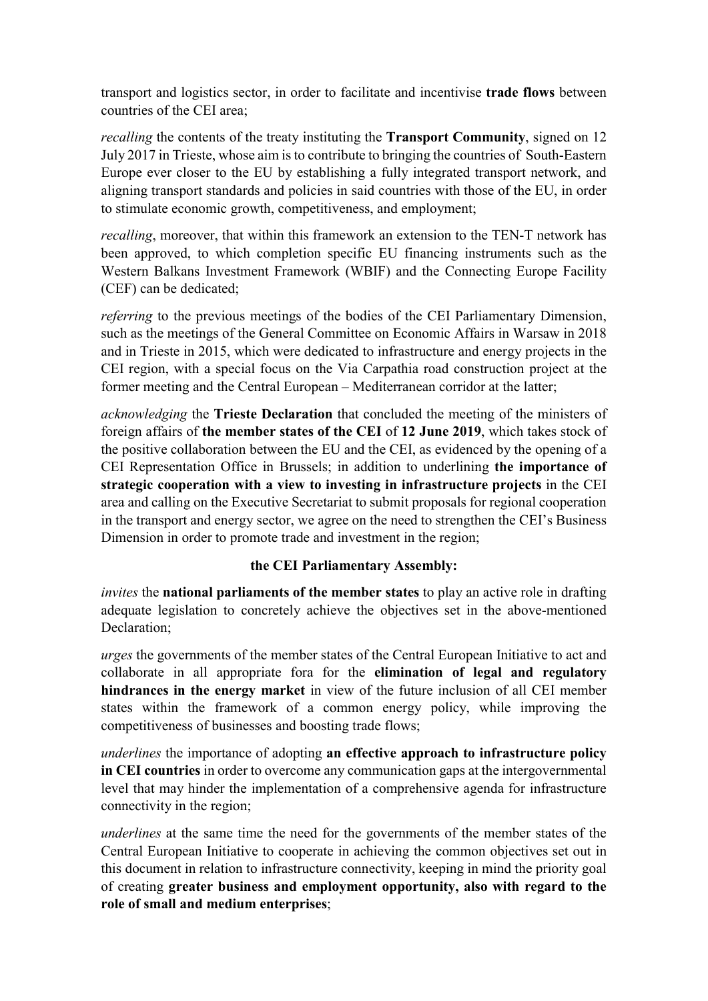transport and logistics sector, in order to facilitate and incentivise trade flows between countries of the CEI area;

recalling the contents of the treaty instituting the Transport Community, signed on 12 July 2017 in Trieste, whose aim is to contribute to bringing the countries of South-Eastern Europe ever closer to the EU by establishing a fully integrated transport network, and aligning transport standards and policies in said countries with those of the EU, in order to stimulate economic growth, competitiveness, and employment;

recalling, moreover, that within this framework an extension to the TEN-T network has been approved, to which completion specific EU financing instruments such as the Western Balkans Investment Framework (WBIF) and the Connecting Europe Facility (CEF) can be dedicated;

referring to the previous meetings of the bodies of the CEI Parliamentary Dimension, such as the meetings of the General Committee on Economic Affairs in Warsaw in 2018 and in Trieste in 2015, which were dedicated to infrastructure and energy projects in the CEI region, with a special focus on the Via Carpathia road construction project at the former meeting and the Central European – Mediterranean corridor at the latter;

acknowledging the Trieste Declaration that concluded the meeting of the ministers of foreign affairs of the member states of the CEI of 12 June 2019, which takes stock of the positive collaboration between the EU and the CEI, as evidenced by the opening of a CEI Representation Office in Brussels; in addition to underlining the importance of strategic cooperation with a view to investing in infrastructure projects in the CEI area and calling on the Executive Secretariat to submit proposals for regional cooperation in the transport and energy sector, we agree on the need to strengthen the CEI's Business Dimension in order to promote trade and investment in the region;

## the CEI Parliamentary Assembly:

invites the **national parliaments of the member states** to play an active role in drafting adequate legislation to concretely achieve the objectives set in the above-mentioned Declaration;

urges the governments of the member states of the Central European Initiative to act and collaborate in all appropriate fora for the elimination of legal and regulatory hindrances in the energy market in view of the future inclusion of all CEI member states within the framework of a common energy policy, while improving the competitiveness of businesses and boosting trade flows;

underlines the importance of adopting an effective approach to infrastructure policy in CEI countries in order to overcome any communication gaps at the intergovernmental level that may hinder the implementation of a comprehensive agenda for infrastructure connectivity in the region;

underlines at the same time the need for the governments of the member states of the Central European Initiative to cooperate in achieving the common objectives set out in this document in relation to infrastructure connectivity, keeping in mind the priority goal of creating greater business and employment opportunity, also with regard to the role of small and medium enterprises;